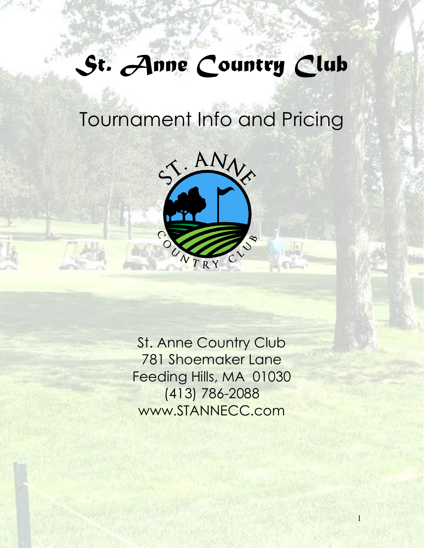# *St. Anne Country Club*

# Tournament Info and Pricing



St. Anne Country Club 781 Shoemaker Lane Feeding Hills, MA 01030 (413) 786-2088 www.STANNECC.com

1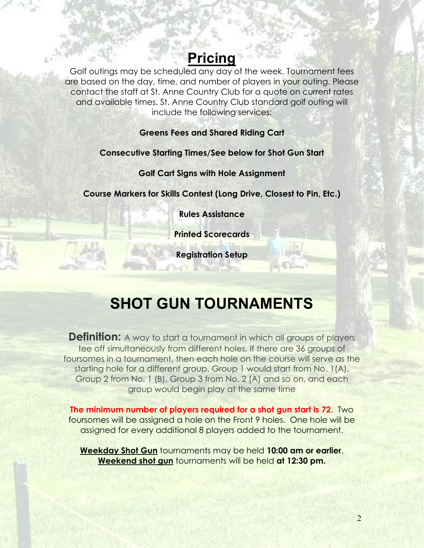## **Pricing**

Golf outings may be scheduled any day of the week. Tournament fees are based on the day, time, and number of players in your outing. Please contact the staff at St. Anne Country Club for a quote on current rates and available times. St. Anne Country Club standard golf outing will include the following services:

#### **Greens Fees and Shared Riding Cart**

#### **Consecutive Starting Times/See below for Shot Gun Start**

**Golf Cart Signs with Hole Assignment**

**Course Markers for Skills Contest (Long Drive, Closest to Pin, Etc.)**

**Rules Assistance**

**Printed Scorecards**

**Registration Setup** 

# **SHOT GUN TOURNAMENTS**

**Definition:** A way to start a tournament in which all groups of players tee off simultaneously from different holes. If there are 36 groups of foursomes in a tournament, then each hole on the course will serve as the starting hole for a different group. Group 1 would start from No. 1(A), Group 2 from No. 1 (B), Group 3 from No. 2 (A) and so on, and each group would begin play at the same time

**The minimum number of players required for a shot gun start is 72**. Two foursomes will be assigned a hole on the Front 9 holes. One hole will be assigned for every additional 8 players added to the tournament.

**Weekday Shot Gun** tournaments may be held **10:00 am or earlier**. **Weekend shot gun** tournaments will be held **at 12:30 pm.**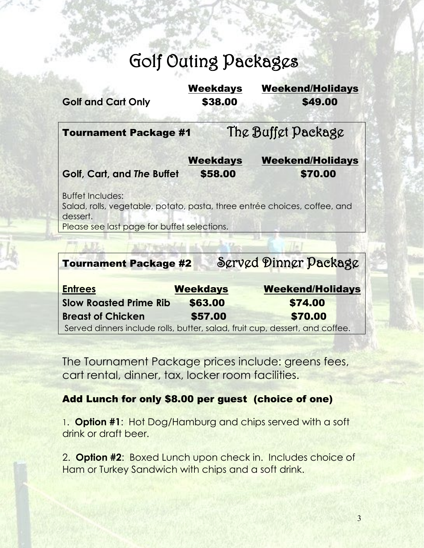# Golf Outing Packages

| <b>Golf and Cart Only</b>                                                                                                                                       | <b>Weekdays</b><br>\$38.00 | <b>Weekend/Holidays</b><br>\$49.00 |
|-----------------------------------------------------------------------------------------------------------------------------------------------------------------|----------------------------|------------------------------------|
| <b>Tournament Package #1</b>                                                                                                                                    |                            | The Buffet Package                 |
|                                                                                                                                                                 | <b>Weekdays</b>            | <b>Weekend/Holidays</b>            |
| Golf, Cart, and The Buffet                                                                                                                                      | \$58.00                    | \$70.00                            |
| <b>Buffet Includes:</b><br>Salad, rolls, vegetable, potato, pasta, three entrée choices, coffee, and<br>dessert.<br>Please see last page for buffet selections. |                            |                                    |
|                                                                                                                                                                 |                            |                                    |
| <b>Tournament Package #2</b>                                                                                                                                    |                            | Served Dinner Package              |

| <b>Entrees</b>                | <b>Weekdays</b> | <b>Weekend/Holidays</b>                                                      |
|-------------------------------|-----------------|------------------------------------------------------------------------------|
| <b>Slow Roasted Prime Rib</b> | \$63.00         | \$74.00                                                                      |
| <b>Breast of Chicken</b>      | \$57.00         | \$70.00                                                                      |
|                               |                 | Served dinners include rolls, butter, salad, fruit cup, dessert, and coffee. |

The Tournament Package prices include: greens fees, cart rental, dinner, tax, locker room facilities.

### Add Lunch for only \$8.00 per guest (choice of one)

1. **Option #1**: Hot Dog/Hamburg and chips served with a soft drink or draft beer.

2. **Option #2**: Boxed Lunch upon check in. Includes choice of Ham or Turkey Sandwich with chips and a soft drink.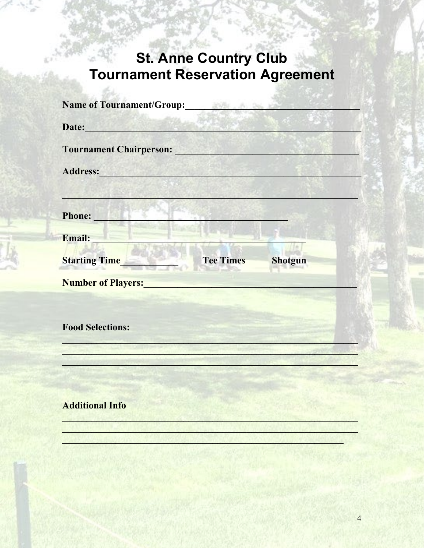# St. Anne Country Club<br>Tournament Reservation Agreement

 $20%$ 

| <b>Name of Tournament/Group:</b>                                                                                                                                                                                               |                  | <u> Provinci (</u> |
|--------------------------------------------------------------------------------------------------------------------------------------------------------------------------------------------------------------------------------|------------------|--------------------|
| Date: <b>Date: Date: Date: Date: Date: Date: Date: Date: Date: Date: Date: Date: Date: Date: Date: Date: Date: Date: Date: Date: Date: Date: Date: Date: Date: Date: Date:</b>                                                 |                  |                    |
| <b>Tournament Chairperson:</b> New York 1989                                                                                                                                                                                   |                  |                    |
| Address: Management of the Contractor of the Contractor of the Contractor of the Contractor of the Contractor of the Contractor of the Contractor of the Contractor of the Contractor of the Contractor of the Contractor of t |                  |                    |
|                                                                                                                                                                                                                                |                  |                    |
| Phone:<br><b>March March 1985</b>                                                                                                                                                                                              |                  |                    |
| Email:                                                                                                                                                                                                                         |                  |                    |
| <b>Starting Time</b>                                                                                                                                                                                                           | <b>Tee Times</b> | <b>Shotgun</b>     |
| <b>Number of Players:</b>                                                                                                                                                                                                      |                  |                    |
|                                                                                                                                                                                                                                |                  |                    |
| <b>Food Selections:</b>                                                                                                                                                                                                        |                  |                    |
|                                                                                                                                                                                                                                |                  |                    |
|                                                                                                                                                                                                                                |                  |                    |
|                                                                                                                                                                                                                                |                  |                    |
| <b>Additional Info</b>                                                                                                                                                                                                         |                  |                    |
|                                                                                                                                                                                                                                |                  |                    |
|                                                                                                                                                                                                                                |                  |                    |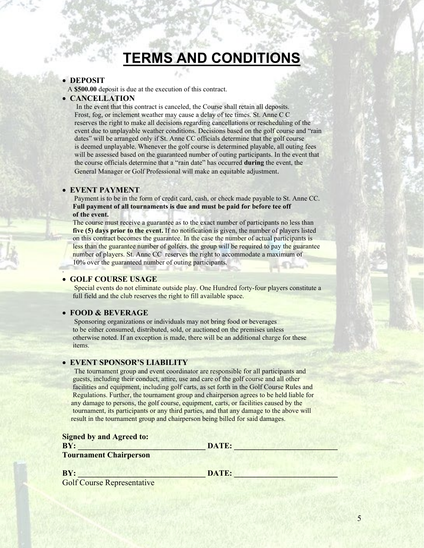# **TERMS AND CONDITIONS**

#### • **DEPOSIT**

A **\$500.00** deposit is due at the execution of this contract.

#### • **CANCELLATION**

 In the event that this contract is canceled, the Course shall retain all deposits. Frost, fog, or inclement weather may cause a delay of tee times. St. Anne C C reserves the right to make all decisions regarding cancellations or rescheduling of the event due to unplayable weather conditions. Decisions based on the golf course and "rain dates" will be arranged only if St. Anne CC officials determine that the golf course is deemed unplayable. Whenever the golf course is determined playable, all outing fees will be assessed based on the guaranteed number of outing participants. In the event that the course officials determine that a "rain date" has occurred **during** the event, the General Manager or Golf Professional will make an equitable adjustment.

#### • **EVENT PAYMENT**

 Payment is to be in the form of credit card, cash, or check made payable to St. Anne CC. **Full payment of all tournaments is due and must be paid for before tee off of the event.**

 The course must receive a guarantee as to the exact number of participants no less than  **five (5) days prior to the event.** If no notification is given, the number of players listed on this contract becomes the guarantee. In the case the number of actual participants is less than the guarantee number of golfers, the group will be required to pay the guarantee number of players. St. Anne CC reserves the right to accommodate a maximum of 10% over the guaranteed number of outing participants.

#### • **GOLF COURSE USAGE**

.

 Special events do not eliminate outside play. One Hundred forty-four players constitute a full field and the club reserves the right to fill available space.

#### • **FOOD & BEVERAGE**

 Sponsoring organizations or individuals may not bring food or beverages to be either consumed, distributed, sold, or auctioned on the premises unless otherwise noted. If an exception is made, there will be an additional charge for these items.

#### • **EVENT SPONSOR'S LIABILITY**

 The tournament group and event coordinator are responsible for all participants and guests, including their conduct, attire, use and care of the golf course and all other facilities and equipment, including golf carts, as set forth in the Golf Course Rules and Regulations. Further, the tournament group and chairperson agrees to be held liable for any damage to persons, the golf course, equipment, carts, or facilities caused by the tournament, its participants or any third parties, and that any damage to the above will result in the tournament group and chairperson being billed for said damages.

**Signed by and Agreed to:**

**BY: \_\_\_\_\_\_\_\_\_\_\_\_\_\_\_\_\_\_\_\_\_\_\_\_\_\_\_\_\_\_\_\_ DATE: \_\_\_\_\_\_\_\_\_\_\_\_\_\_\_\_\_\_\_\_\_\_\_\_\_\_**

**Tournament Chairperson**

**BY: \_\_\_\_\_\_\_\_\_\_\_\_\_\_\_\_\_\_\_\_\_\_\_\_\_\_\_\_\_\_\_\_ DATE: \_\_\_\_\_\_\_\_\_\_\_\_\_\_\_\_\_\_\_\_\_\_\_\_\_\_**

Golf Course Representative